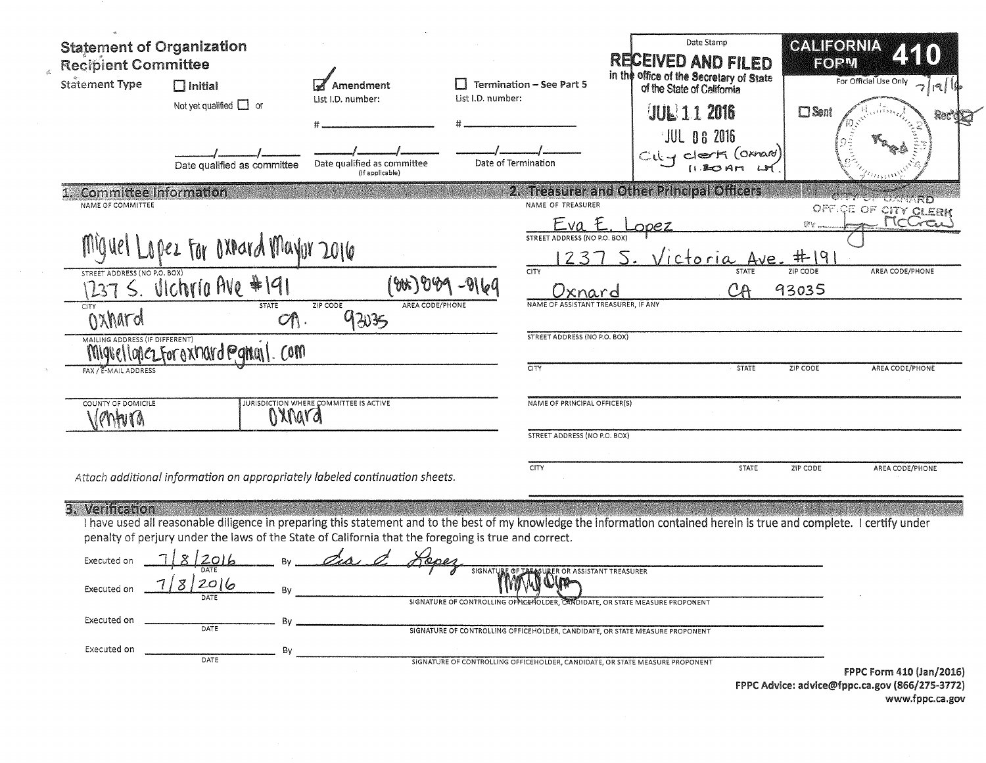| <b>Statement of Organization</b><br><b>Recipient Committee</b><br><b>Statement Type</b> | $\Box$ Initial<br>Not yet qualified $\Box$ or<br>Date qualified as committee | Amendment<br>List I.D. number:<br>Date qualified as committee<br>(if applicable)                     | List I.D. number: | <b>Termination - See Part 5</b><br>Date of Termination                                                            | Date Stamp<br>RECEIVED AND FILED<br>in the office of the Secretary of State<br>of the State of California<br><b>UUL 112016</b><br>JUL 06 2016<br>$C_i \& q$ clerk (oxnard)<br>$(1 - 20$ Art | CALIFORNIA<br>EORVI<br>$\square$ Sent | For Official Use Only<br>7 19 <br>Rec'd |
|-----------------------------------------------------------------------------------------|------------------------------------------------------------------------------|------------------------------------------------------------------------------------------------------|-------------------|-------------------------------------------------------------------------------------------------------------------|---------------------------------------------------------------------------------------------------------------------------------------------------------------------------------------------|---------------------------------------|-----------------------------------------|
| Committee Information<br>NAME OF COMMITTEE                                              |                                                                              |                                                                                                      |                   | NAME OF TREASURER                                                                                                 | 2. Treasurer and Other Principal Officers                                                                                                                                                   |                                       | <b>MARTING</b><br>OFFICE OF CITY CLERK  |
| STREET ADDRESS (NO P.O. BOX)                                                            | apez For Oxnard Mayor 2016                                                   |                                                                                                      |                   | Eva<br><b>STREET ADDRESS (NO P.O. BOX)</b><br>CITY                                                                | ictoria<br><b>STATE</b>                                                                                                                                                                     | #19<br>ZIP CODE                       | MCGC.<br>AREA CODE/PHONE                |
| 237 S. Ulchria Ave #191<br>CITY                                                         | <b>STATE</b>                                                                 | 'የእኑገ የነዓን<br>ZIP CODE<br>AREA CODE/PHONE                                                            |                   | xnard<br>NAME OF ASSISTANT TREASURER, IF ANY                                                                      | СA                                                                                                                                                                                          | 93035                                 |                                         |
| Oxhard                                                                                  | $O \cap$                                                                     | 92035                                                                                                |                   |                                                                                                                   |                                                                                                                                                                                             |                                       |                                         |
| MAILING ADDRESS (IF DIFFERENT)                                                          | MIgvellopezforoxnard Panall. Com                                             |                                                                                                      |                   | <b>STREET ADDRESS (NO P.O. BOX)</b>                                                                               |                                                                                                                                                                                             |                                       |                                         |
| FAX / E-MAIL ADDRESS                                                                    |                                                                              |                                                                                                      |                   | CITY                                                                                                              | <b>STATE</b>                                                                                                                                                                                | ZIP CODE                              | AREA CODE/PHONE                         |
| COUNTY OF DOMICILE<br>$\mathcal{M}$                                                     |                                                                              | JURISDICTION WHERE COMMITTEE IS ACTIVE                                                               |                   | NAME OF PRINCIPAL OFFICER(S)                                                                                      |                                                                                                                                                                                             |                                       |                                         |
|                                                                                         |                                                                              |                                                                                                      |                   | STREET ADDRESS (NO P.O. BOX)                                                                                      |                                                                                                                                                                                             |                                       |                                         |
|                                                                                         |                                                                              | Attach additional information on appropriately labeled continuation sheets.                          |                   | <b>CITY</b>                                                                                                       | <b>STATE</b>                                                                                                                                                                                | ZIP CODE                              | AREA CODE/PHONE                         |
| 3. Verification<br>Executed on<br>' 8 I<br>Executed on<br>Executed on                   | 12016<br>2016<br>Bv<br>By                                                    | penalty of perjury under the laws of the State of California that the foregoing is true and correct. | SIGNATURE OF I    | <b>ER OR ASSISTANT TREASURER</b><br>SIGNATURE OF CONTROLLING OFFICE HOLDER, CANDIDATE, OR STATE MEASURE PROPONENT | I have used all reasonable diligence in preparing this statement and to the best of my knowledge the information contained herein is true and complete. I certify under                     |                                       |                                         |

FPPC Form 410 (Jan/2016)<br>FPPC Advice: advice@fppc.ca.gov (866/275-3772)<br>www.fppc.ca.gov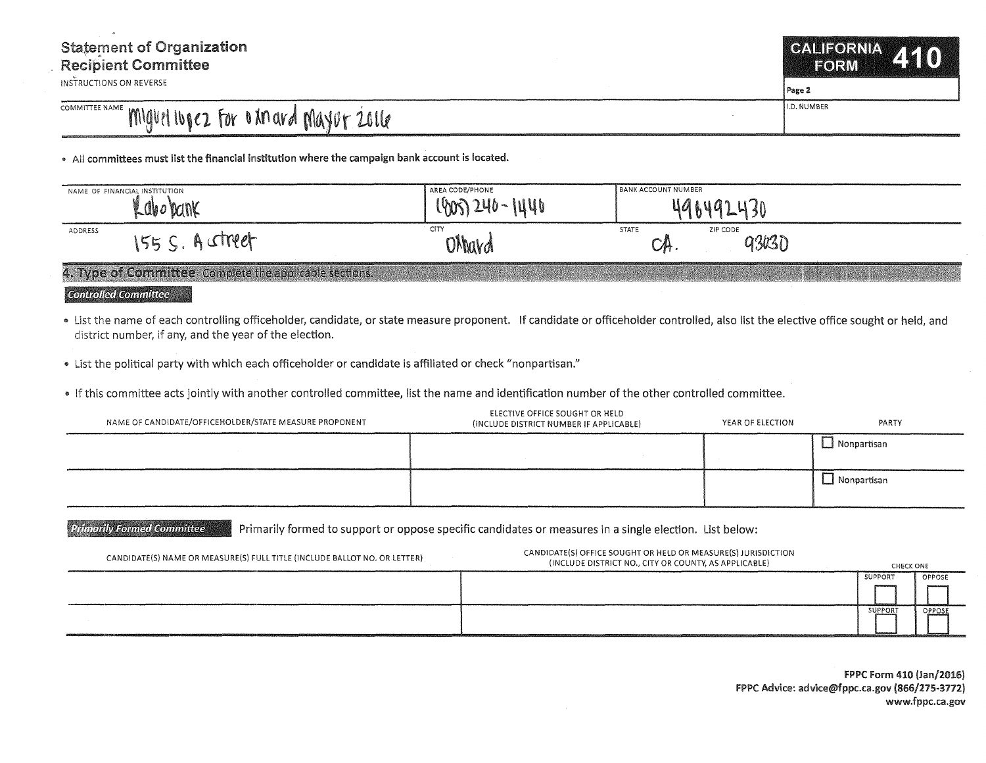## COMMITTEE NAME MIGUEL IUDEZ FOR O XM ard MAYUF 2016

• All committees must list the financial institution where the campaign bank account is located.

| $\sim$ abo ban $\sim$ | l lwr         |                                                          |  |
|-----------------------|---------------|----------------------------------------------------------|--|
|                       | W             |                                                          |  |
| ADDRESS<br>$-1000$    | CITY<br>OMavd | <b>STATE</b><br>ZIP CODE<br>93K3D<br>$\cup$ Ation $\cup$ |  |

4. Type of Committee Complete the applicable sections.

## **Controlled Committee**

- " List the name of each controlling officeholder, candidate, or state measure proponent. If candidate or officeholder controlled, also list the elective office sought or held, and district number, if any, and the year of the election.
- List the political party with which each officeholder or candidate is affiliated or check "nonpartisan."
- .. If this committee acts jointly with another controlled committee, list the name and identification number of the other controlled committee.

| NAME OF CANDIDATE/OFFICEHOLDER/STATE MEASURE PROPONENT | ELECTIVE OFFICE SOUGHT OR HELD<br>(INCLUDE DISTRICT NUMBER IF APPLICABLE) | YEAR OF ELECTION | PARTY       |
|--------------------------------------------------------|---------------------------------------------------------------------------|------------------|-------------|
|                                                        |                                                                           |                  | Nonpartisan |
|                                                        |                                                                           |                  | Nonpartisan |

Primarily Formed Committee Primarily formed to support or oppose specific candidates or measures in a single election. List below:

| CANDIDATE(S) NAME OR MEASURE(S) FULL TITLE (INCLUDE BALLOT NO. OR LETTER) | CANDIDATE(S) OFFICE SOUGHT OR HELD OR MEASURE(S) JURISDICTION<br>(INCLUDE DISTRICT NO., CITY OR COUNTY, AS APPLICABLE) | CHECK ONE      |        |
|---------------------------------------------------------------------------|------------------------------------------------------------------------------------------------------------------------|----------------|--------|
|                                                                           |                                                                                                                        | SUPPORT        | OPPOSE |
|                                                                           |                                                                                                                        |                |        |
|                                                                           |                                                                                                                        | <b>SUPPORT</b> | OPPOSE |

FPPC Form 410 (Jan/2016) FPPC Advice: advice@fppc.ca.gov (866/275-3772) www.fppc.ca.gov

**CALIFORNIA EORM** 

Page 2

I.D. NUMBER